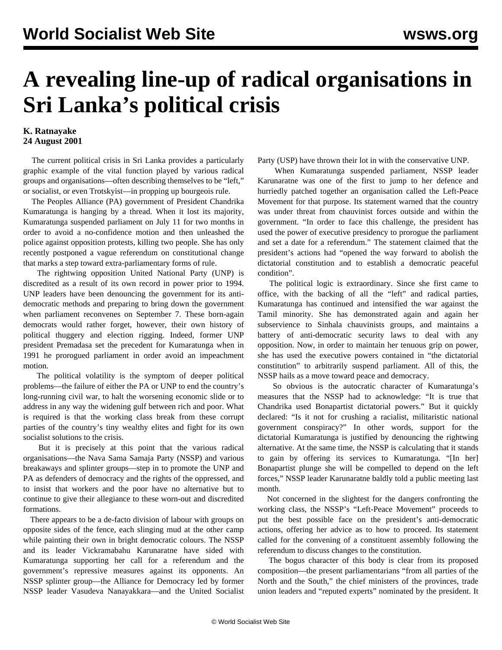## **A revealing line-up of radical organisations in Sri Lanka's political crisis**

## **K. Ratnayake 24 August 2001**

 The current political crisis in Sri Lanka provides a particularly graphic example of the vital function played by various radical groups and organisations—often describing themselves to be "left," or socialist, or even Trotskyist—in propping up bourgeois rule.

 The Peoples Alliance (PA) government of President Chandrika Kumaratunga is hanging by a thread. When it lost its majority, Kumaratunga suspended parliament on July 11 for two months in order to avoid a no-confidence motion and then unleashed the police against opposition protests, killing two people. She has only recently postponed a vague referendum on constitutional change that marks a step toward extra-parliamentary forms of rule.

 The rightwing opposition United National Party (UNP) is discredited as a result of its own record in power prior to 1994. UNP leaders have been denouncing the government for its antidemocratic methods and preparing to bring down the government when parliament reconvenes on September 7. These born-again democrats would rather forget, however, their own history of political thuggery and election rigging. Indeed, former UNP president Premadasa set the precedent for Kumaratunga when in 1991 he prorogued parliament in order avoid an impeachment motion.

 The political volatility is the symptom of deeper political problems—the failure of either the PA or UNP to end the country's long-running civil war, to halt the worsening economic slide or to address in any way the widening gulf between rich and poor. What is required is that the working class break from these corrupt parties of the country's tiny wealthy elites and fight for its own socialist solutions to the crisis.

 But it is precisely at this point that the various radical organisations—the Nava Sama Samaja Party (NSSP) and various breakaways and splinter groups—step in to promote the UNP and PA as defenders of democracy and the rights of the oppressed, and to insist that workers and the poor have no alternative but to continue to give their allegiance to these worn-out and discredited formations.

 There appears to be a de-facto division of labour with groups on opposite sides of the fence, each slinging mud at the other camp while painting their own in bright democratic colours. The NSSP and its leader Vickramabahu Karunaratne have sided with Kumaratunga supporting her call for a referendum and the government's repressive measures against its opponents. An NSSP splinter group—the Alliance for Democracy led by former NSSP leader Vasudeva Nanayakkara—and the United Socialist Party (USP) have thrown their lot in with the conservative UNP.

 When Kumaratunga suspended parliament, NSSP leader Karunaratne was one of the first to jump to her defence and hurriedly patched together an organisation called the Left-Peace Movement for that purpose. Its statement warned that the country was under threat from chauvinist forces outside and within the government. "In order to face this challenge, the president has used the power of executive presidency to prorogue the parliament and set a date for a referendum." The statement claimed that the president's actions had "opened the way forward to abolish the dictatorial constitution and to establish a democratic peaceful condition".

 The political logic is extraordinary. Since she first came to office, with the backing of all the "left" and radical parties, Kumaratunga has continued and intensified the war against the Tamil minority. She has demonstrated again and again her subservience to Sinhala chauvinists groups, and maintains a battery of anti-democratic security laws to deal with any opposition. Now, in order to maintain her tenuous grip on power, she has used the executive powers contained in "the dictatorial constitution" to arbitrarily suspend parliament. All of this, the NSSP hails as a move toward peace and democracy.

 So obvious is the autocratic character of Kumaratunga's measures that the NSSP had to acknowledge: "It is true that Chandrika used Bonapartist dictatorial powers." But it quickly declared: "Is it not for crushing a racialist, militaristic national government conspiracy?" In other words, support for the dictatorial Kumaratunga is justified by denouncing the rightwing alternative. At the same time, the NSSP is calculating that it stands to gain by offering its services to Kumaratunga. "[In her] Bonapartist plunge she will be compelled to depend on the left forces," NSSP leader Karunaratne baldly told a public meeting last month.

 Not concerned in the slightest for the dangers confronting the working class, the NSSP's "Left-Peace Movement" proceeds to put the best possible face on the president's anti-democratic actions, offering her advice as to how to proceed. Its statement called for the convening of a constituent assembly following the referendum to discuss changes to the constitution.

 The bogus character of this body is clear from its proposed composition—the present parliamentarians "from all parties of the North and the South," the chief ministers of the provinces, trade union leaders and "reputed experts" nominated by the president. It